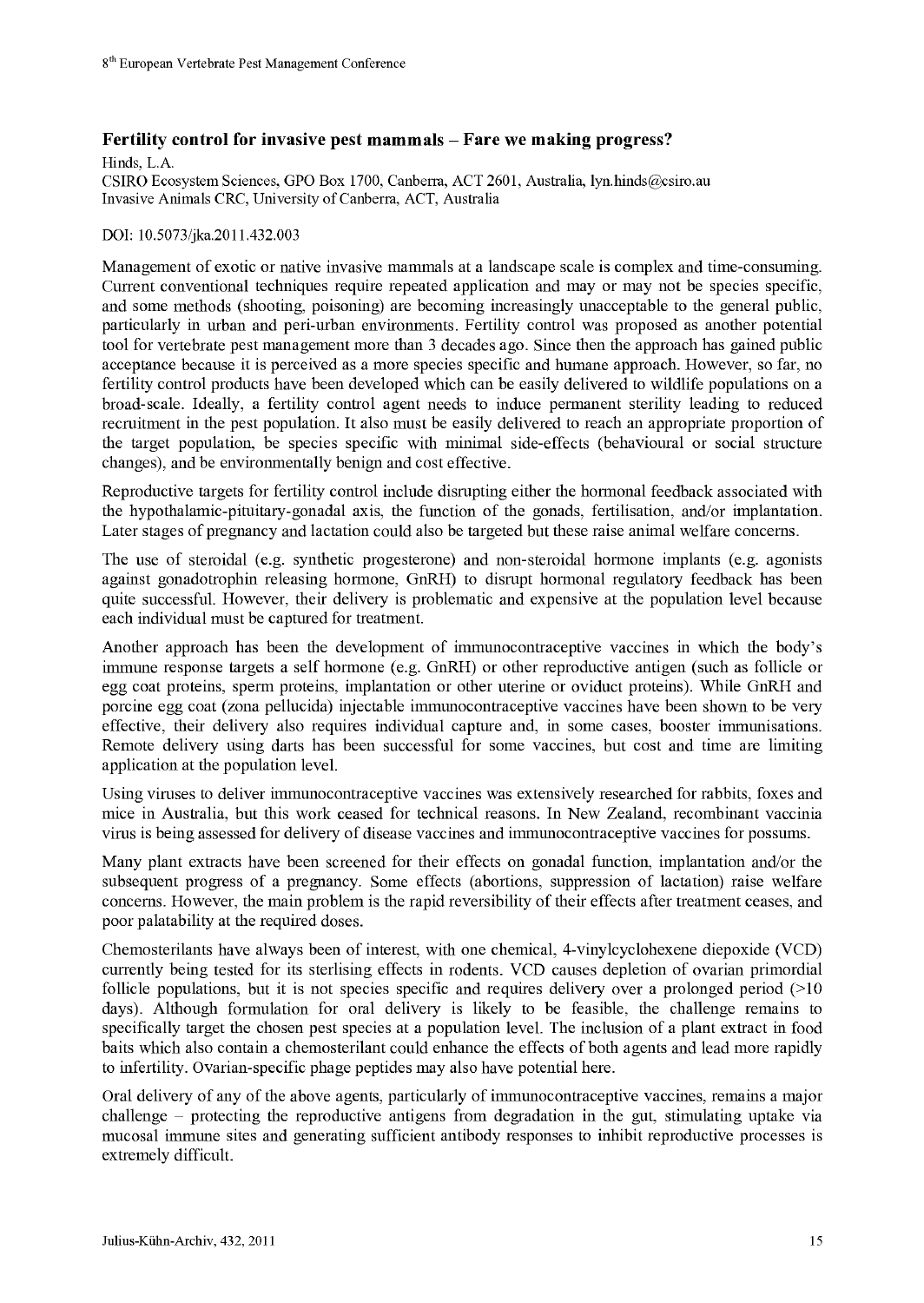## Fertility control for invasive pest mammals – Fare we making progress?

Hinds, L.A.

CSIRO Ecosystem Sciences, GPO Box 1700, Canberra, ACT 2601, Australia, lyn.hinds@csiro.au Invasive Animals CRC, University of Canberra, ACT, Australia

## DOI: 10.5073/jka.2011.432.003

Management of exotic or native invasive mammals at a landscape scale is complex and time-consuming. Current conventional techniques require repeated application and may or may not be species specific, and some methods (shooting, poisoning) are becoming increasingly unacceptable to the general public, particularly in urban and peri-urban environments. Fertility control was proposed as another potential tool for vertebrate pest management more than 3 decades ago. Since then the approach has gained public acceptance because it is perceived as a more species specific and humane approach. However, so far, no fertility control products have been developed which can be easily delivered to wildlife populations on a broad-scale. Ideally, a fertility control agent needs to induce permanent sterility leading to reduced recruitment in the pest population. It also must be easily delivered to reach an appropriate proportion of the target population, be species specific with minimal side-effects (behavioural or social structure changes), and be environmentally benign and cost effective.

Reproductive targets for fertility control include disrupting either the hormonal feedback associated with the hypothalamic-pituitary-gonadal axis, the function of the gonads, fertilisation, and/or implantation. Later stages of pregnancy and lactation could also be targeted but these raise animal welfare concerns.

The use of steroidal (e.g. synthetic progesterone) and non-steroidal hormone implants (e.g. agonists against gonadotrophin releasing hormone, GnRH) to disrupt hormonal regulatory feedback has been quite successful. However, their delivery is problematic and expensive at the population level because each individual must be captured for treatment.

Another approach has been the development of immunocontraceptive vaccines in which the body's immune response targets a self hormone (e.g. GnRH) or other reproductive antigen (such as follicle or egg coat proteins, sperm proteins, implantation or other uterine or oviduct proteins). While GnRH and porcine egg coat (zona pellucida) injectable immunocontraceptive vaccines have been shown to be very effective, their delivery also requires individual capture and, in some cases, booster immunisations. Remote delivery using darts has been successful for some vaccines, but cost and time are limiting application at the population level.

Using viruses to deliver immunocontraceptive vaccines was extensively researched for rabbits, foxes and mice in Australia, but this work ceased for technical reasons. In New Zealand, recombinant vaccinia virus is being assessed for delivery of disease vaccines and immunocontraceptive vaccines for possums.

Many plant extracts have been screened for their effects on gonadal function, implantation and/or the subsequent progress of a pregnancy. Some effects (abortions, suppression of lactation) raise welfare concerns. However, the main problem is the rapid reversibility of their effects after treatment ceases, and poor palatability at the required doses.

Chemosterilants have always been of interest, with one chemical, 4-vinylcyclohexene diepoxide (VCD) currently being tested for its sterlising effects in rodents. VCD causes depletion of ovarian primordial follicle populations, but it is not species specific and requires delivery over a prolonged period (>10 days). Although formulation for oral delivery is likely to be feasible, the challenge remains to specifically target the chosen pest species at a population level. The inclusion of a plant extract in food baits which also contain a chemosterilant could enhance the effects of both agents and lead more rapidly to infertility. Ovarian-specific phage peptides may also have potential here.

Oral delivery of any of the above agents, particularly of immunocontraceptive vaccines, remains a major challenge - protecting the reproductive antigens from degradation in the gut, stimulating uptake via mucosal immune sites and generating sufficient antibody responses to inhibit reproductive processes is extremely difficult.